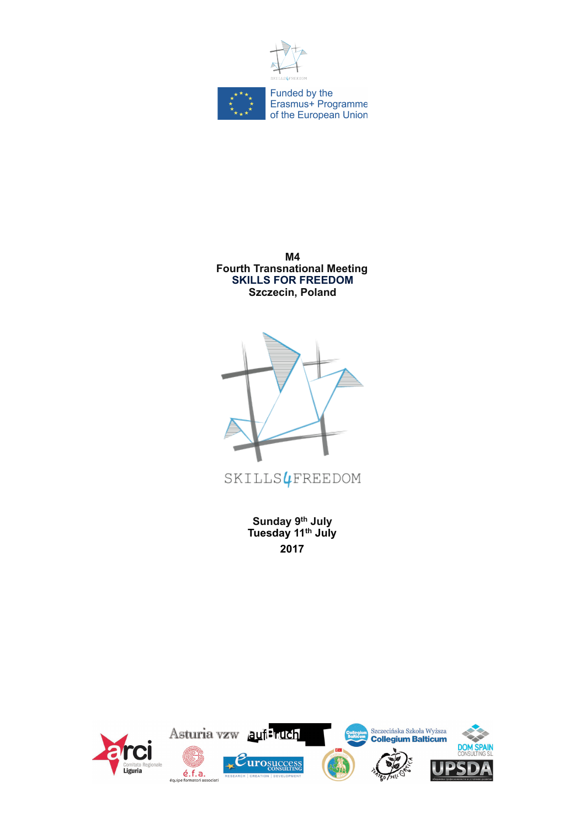



**M4 Fourth Transnational Meeting SKILLS FOR FREEDOM Szczecin, Poland**



**Sunday 9th July Tuesday 11th July 2017** 

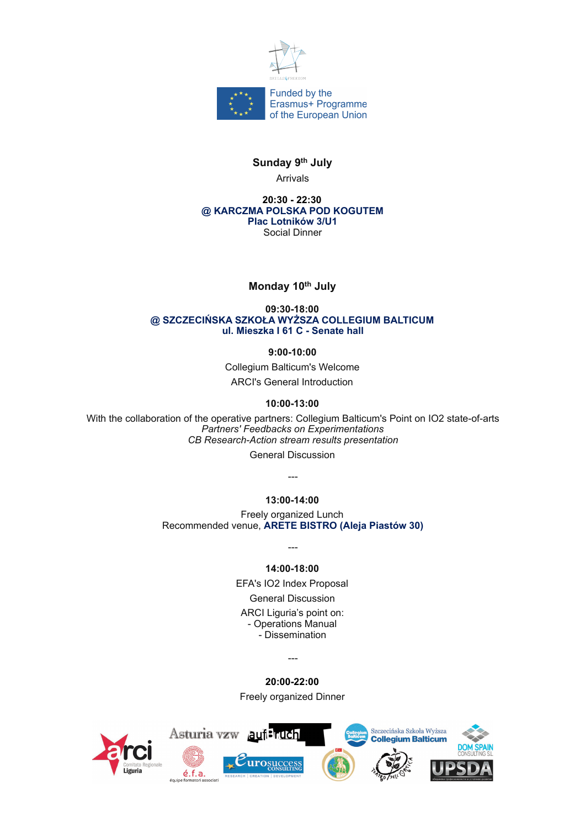



## **Sunday 9th July**

Arrivals

**20:30 - 22:30 @ KARCZMA POLSKA POD KOGUTEM Plac Lotników 3/U1** Social Dinner

## **Monday 10th July**

#### **09:30-18:00 @ SZCZECIŃSKA SZKOŁA WYŻSZA COLLEGIUM BALTICUM ul. Mieszka I 61 C - Senate hall**

**9:00-10:00**

Collegium Balticum's Welcome ARCI's General Introduction

## **10:00-13:00**

With the collaboration of the operative partners: Collegium Balticum's Point on IO2 state-of-arts *Partners' Feedbacks on Experimentations CB Research-Action stream results presentation*

General Discussion

# ---

**13:00-14:00**

Freely organized Lunch Recommended venue, **ARETE BISTRO (Aleja Piastów 30)**

**14:00-18:00**

---

EFA's IO2 Index Proposal General Discussion ARCI Liguria's point on: - Operations Manual

- Dissemination

---

**20:00-22:00**

Freely organized Dinner

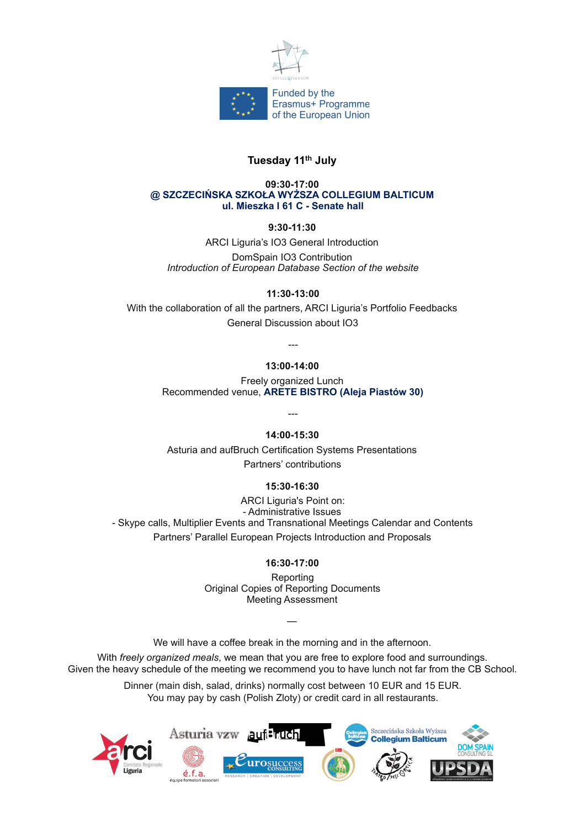

## **Tuesday 11th July**

#### **09:30-17:00 @ SZCZECIŃSKA SZKOŁA WYŻSZA COLLEGIUM BALTICUM ul. Mieszka I 61 C - Senate hall**

## **9:30-11:30**

ARCI Liguria's IO3 General Introduction DomSpain IO3 Contribution *Introduction of European Database Section of the website*

## **11:30-13:00**

With the collaboration of all the partners, ARCI Liguria's Portfolio Feedbacks General Discussion about IO3

## **13:00-14:00**

*---* 

Freely organized Lunch Recommended venue, **ARETE BISTRO (Aleja Piastów 30)**

## **14:00-15:30**

---

Asturia and aufBruch Certification Systems Presentations Partners' contributions

## **15:30-16:30**

ARCI Liguria's Point on: - Administrative Issues - Skype calls, Multiplier Events and Transnational Meetings Calendar and Contents Partners' Parallel European Projects Introduction and Proposals

## **16:30-17:00**

Reporting Original Copies of Reporting Documents Meeting Assessment

We will have a coffee break in the morning and in the afternoon.

—

With *freely organized meals*, we mean that you are free to explore food and surroundings. Given the heavy schedule of the meeting we recommend you to have lunch not far from the CB School.

> Dinner (main dish, salad, drinks) normally cost between 10 EUR and 15 EUR. You may pay by cash (Polish Zloty) or credit card in all restaurants.

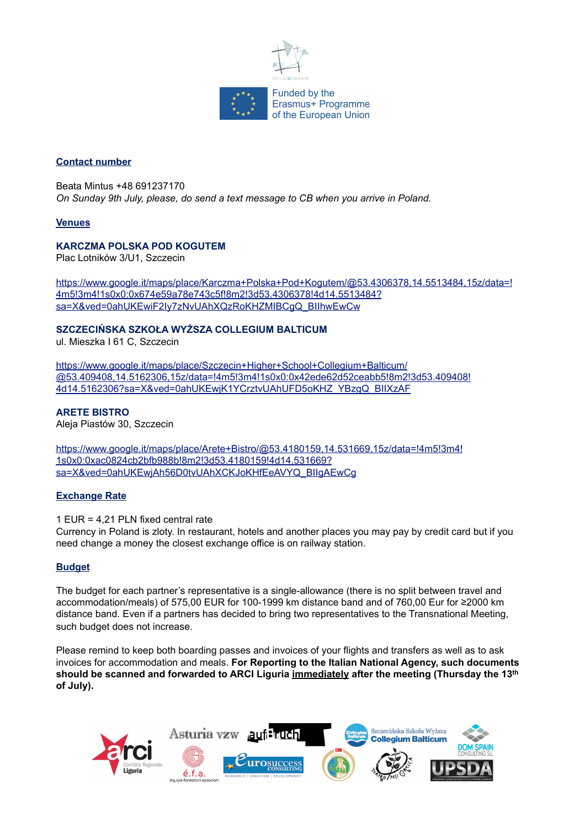

## **Contact number**

Beata Mintus +48 691237170 *On Sunday 9th July, please, do send a text message to CB when you arrive in Poland.*

## **Venues**

## **KARCZMA POLSKA POD KOGUTEM**

Plac Lotników 3/U1, Szczecin

[https://www.google.it/maps/place/Karczma+Polska+Pod+Kogutem/@53.4306378,14.5513484,15z/data=!](https://www.google.it/maps/place/Karczma+Polska+Pod+Kogutem/@53.4306378,14.5513484,15z/data=!4m5!3m4!1s0x0:0x674e59a78e743c5f!8m2!3d53.4306378!4d14.5513484?sa=X&ved=0ahUKEwiF2Iy7zNvUAhXQzRoKHZMIBCgQ_BIIhwEwCw) [4m5!3m4!1s0x0:0x674e59a78e743c5f!8m2!3d53.4306378!4d14.5513484?](https://www.google.it/maps/place/Karczma+Polska+Pod+Kogutem/@53.4306378,14.5513484,15z/data=!4m5!3m4!1s0x0:0x674e59a78e743c5f!8m2!3d53.4306378!4d14.5513484?sa=X&ved=0ahUKEwiF2Iy7zNvUAhXQzRoKHZMIBCgQ_BIIhwEwCw) [sa=X&ved=0ahUKEwiF2Iy7zNvUAhXQzRoKHZMIBCgQ\\_BIIhwEwCw](https://www.google.it/maps/place/Karczma+Polska+Pod+Kogutem/@53.4306378,14.5513484,15z/data=!4m5!3m4!1s0x0:0x674e59a78e743c5f!8m2!3d53.4306378!4d14.5513484?sa=X&ved=0ahUKEwiF2Iy7zNvUAhXQzRoKHZMIBCgQ_BIIhwEwCw)

#### **SZCZECIŃSKA SZKOŁA WYŻSZA COLLEGIUM BALTICUM**

ul. Mieszka I 61 C, Szczecin

https://www.google.it/maps/place/Szczecin+Higher+School+Collegium+Balticum/ @53.409408,14.5162306,15z/data=!4m5!3m4!1s0x0:0x42ede62d52ceabb5!8m2!3d53.409408! 4d14.5162306?sa=X&ved=0ahUKEwjK1YCrztvUAhUFD5oKHZ\_YBzgQ\_BIIXzAF

**ARETE BISTRO** Aleja Piastów 30, Szczecin

https://www.google.it/maps/place/Arete+Bistro/@53.4180159,14.531669,15z/data=!4m5!3m4! 1s0x0:0xac0824cb2bfb988b!8m2!3d53.4180159!4d14.531669? sa=X&ved=0ahUKEwjAh56D0tvUAhXCKJoKHfEeAVYQ\_BIIgAEwCg

## **Exchange Rate**

1 EUR = 4,21 PLN fixed central rate

Currency in Poland is zloty. In restaurant, hotels and another places you may pay by credit card but if you need change a money the closest exchange office is on railway station.

## **Budget**

The budget for each partner's representative is a single-allowance (there is no split between travel and accommodation/meals) of 575,00 EUR for 100-1999 km distance band and of 760,00 Eur for ≥2000 km distance band. Even if a partners has decided to bring two representatives to the Transnational Meeting, such budget does not increase.

Please remind to keep both boarding passes and invoices of your flights and transfers as well as to ask invoices for accommodation and meals. **For Reporting to the Italian National Agency, such documents should be scanned and forwarded to ARCI Liguria immediately after the meeting (Thursday the 13th of July).**